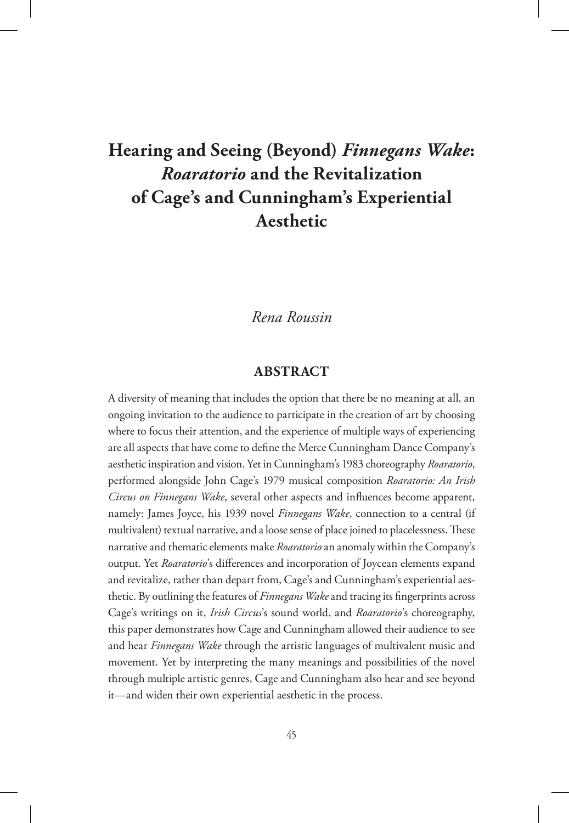# **Hearing and Seeing (Beyond)** *Finnegans Wake***:**  *Roaratorio* **and the Revitalization of Cage's and Cunningham's Experiential Aesthetic**

### *Rena Roussin*

#### **ABSTRACT**

A diversity of meaning that includes the option that there be no meaning at all, an ongoing invitation to the audience to participate in the creation of art by choosing where to focus their attention, and the experience of multiple ways of experiencing are all aspects that have come to define the Merce Cunningham Dance Company's aesthetic inspiration and vision. Yet in Cunningham's 1983 choreography *Roaratorio*, performed alongside John Cage's 1979 musical composition *Roaratorio: An Irish Circus on Finnegans Wake*, several other aspects and influences become apparent, namely: James Joyce, his 1939 novel *Finnegans Wake*, connection to a central (if multivalent) textual narrative, and a loose sense of place joined to placelessness. These narrative and thematic elements make *Roaratorio* an anomaly within the Company's output. Yet *Roaratorio*'s differences and incorporation of Joycean elements expand and revitalize, rather than depart from, Cage's and Cunningham's experiential aesthetic. By outlining the features of *Finnegans Wake* and tracing its fingerprints across Cage's writings on it, *Irish Circus*'s sound world, and *Roaratorio*'s choreography, this paper demonstrates how Cage and Cunningham allowed their audience to see and hear *Finnegans Wake* through the artistic languages of multivalent music and movement. Yet by interpreting the many meanings and possibilities of the novel through multiple artistic genres, Cage and Cunningham also hear and see beyond it—and widen their own experiential aesthetic in the process.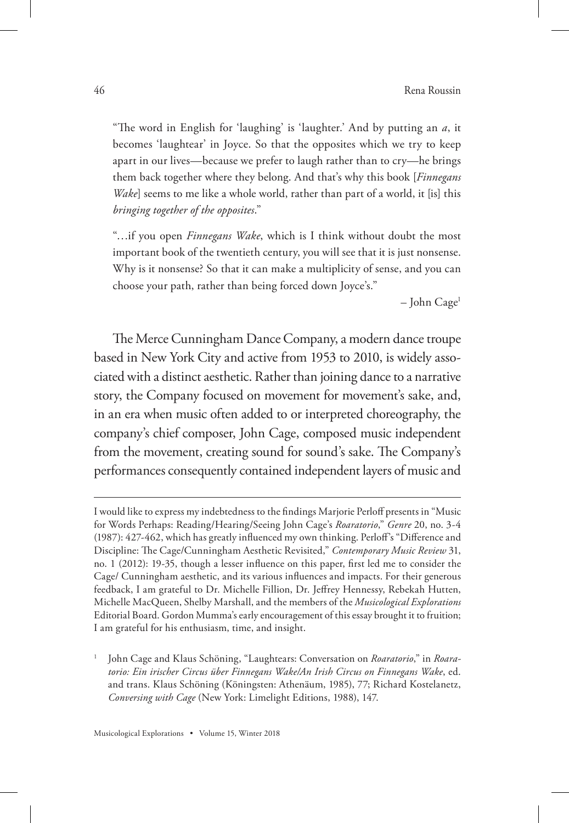"The word in English for 'laughing' is 'laughter.' And by putting an *a*, it becomes 'laughtear' in Joyce. So that the opposites which we try to keep apart in our lives—because we prefer to laugh rather than to cry—he brings them back together where they belong. And that's why this book [*Finnegans Wake*] seems to me like a whole world, rather than part of a world, it [is] this *bringing together of the opposites*."

"…if you open *Finnegans Wake*, which is I think without doubt the most important book of the twentieth century, you will see that it is just nonsense. Why is it nonsense? So that it can make a multiplicity of sense, and you can choose your path, rather than being forced down Joyce's."

– John Cage1

The Merce Cunningham Dance Company, a modern dance troupe based in New York City and active from 1953 to 2010, is widely associated with a distinct aesthetic. Rather than joining dance to a narrative story, the Company focused on movement for movement's sake, and, in an era when music often added to or interpreted choreography, the company's chief composer, John Cage, composed music independent from the movement, creating sound for sound's sake. The Company's performances consequently contained independent layers of music and

I would like to express my indebtedness to the findings Marjorie Perloff presents in "Music for Words Perhaps: Reading/Hearing/Seeing John Cage's *Roaratorio*," *Genre* 20, no. 3-4 (1987): 427-462, which has greatly influenced my own thinking. Perloff's "Difference and Discipline: The Cage/Cunningham Aesthetic Revisited," *Contemporary Music Review* 31, no. 1 (2012): 19-35, though a lesser influence on this paper, first led me to consider the Cage/ Cunningham aesthetic, and its various influences and impacts. For their generous feedback, I am grateful to Dr. Michelle Fillion, Dr. Jeffrey Hennessy, Rebekah Hutten, Michelle MacQueen, Shelby Marshall, and the members of the *Musicological Explorations* Editorial Board. Gordon Mumma's early encouragement of this essay brought it to fruition; I am grateful for his enthusiasm, time, and insight.

<sup>1</sup> John Cage and Klaus Schöning, "Laughtears: Conversation on *Roaratorio*," in *Roaratorio: Ein irischer Circus über Finnegans Wake/An Irish Circus on Finnegans Wake*, ed. and trans. Klaus Schöning (Köningsten: Athenäum, 1985), 77; Richard Kostelanetz, *Conversing with Cage* (New York: Limelight Editions, 1988), 147.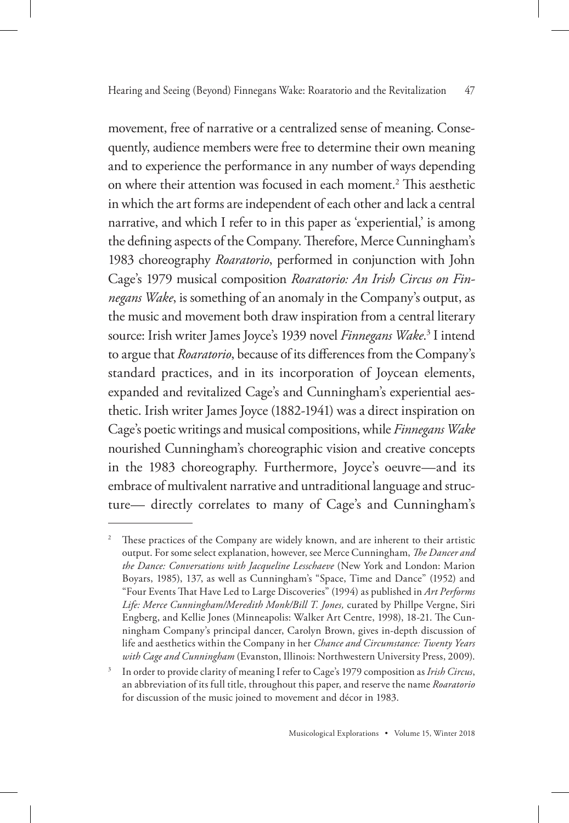movement, free of narrative or a centralized sense of meaning. Consequently, audience members were free to determine their own meaning and to experience the performance in any number of ways depending on where their attention was focused in each moment.<sup>2</sup> This aesthetic in which the art forms are independent of each other and lack a central narrative, and which I refer to in this paper as 'experiential,' is among the defining aspects of the Company. Therefore, Merce Cunningham's 1983 choreography *Roaratorio*, performed in conjunction with John Cage's 1979 musical composition *Roaratorio: An Irish Circus on Finnegans Wake*, is something of an anomaly in the Company's output, as the music and movement both draw inspiration from a central literary source: Irish writer James Joyce's 1939 novel *Finnegans Wake*. 3 I intend to argue that *Roaratorio*, because of its differences from the Company's standard practices, and in its incorporation of Joycean elements, expanded and revitalized Cage's and Cunningham's experiential aesthetic. Irish writer James Joyce (1882-1941) was a direct inspiration on Cage's poetic writings and musical compositions, while *Finnegans Wake*  nourished Cunningham's choreographic vision and creative concepts in the 1983 choreography. Furthermore, Joyce's oeuvre—and its embrace of multivalent narrative and untraditional language and structure— directly correlates to many of Cage's and Cunningham's

<sup>&</sup>lt;sup>2</sup> These practices of the Company are widely known, and are inherent to their artistic output. For some select explanation, however, see Merce Cunningham, *The Dancer and the Dance: Conversations with Jacqueline Lesschaeve* (New York and London: Marion Boyars, 1985), 137, as well as Cunningham's "Space, Time and Dance" (1952) and "Four Events That Have Led to Large Discoveries" (1994) as published in *Art Performs Life: Merce Cunningham/Meredith Monk/Bill T. Jones,* curated by Phillpe Vergne, Siri Engberg, and Kellie Jones (Minneapolis: Walker Art Centre, 1998), 18-21. The Cunningham Company's principal dancer, Carolyn Brown, gives in-depth discussion of life and aesthetics within the Company in her *Chance and Circumstance: Twenty Years with Cage and Cunningham* (Evanston, Illinois: Northwestern University Press, 2009).

<sup>3</sup> In order to provide clarity of meaning I refer to Cage's 1979 composition as *Irish Circus*, an abbreviation of its full title, throughout this paper, and reserve the name *Roaratorio* for discussion of the music joined to movement and décor in 1983.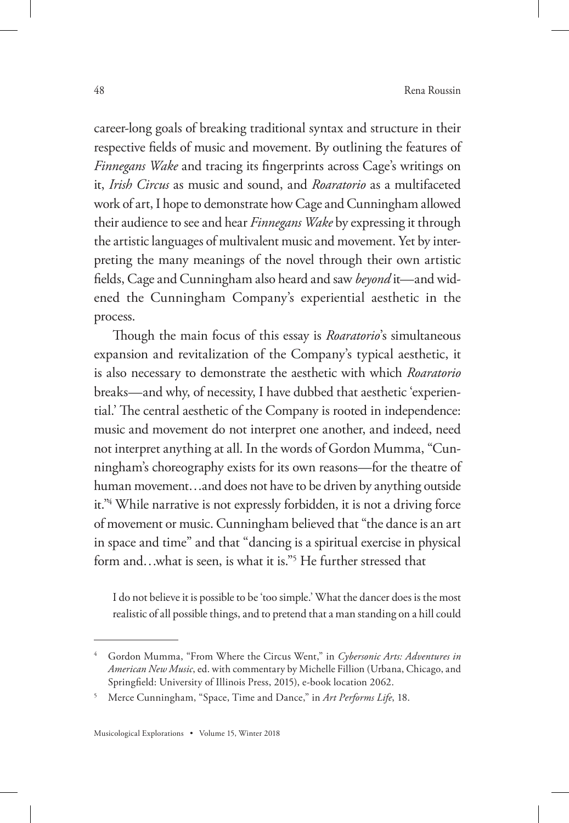career-long goals of breaking traditional syntax and structure in their respective fields of music and movement. By outlining the features of *Finnegans Wake* and tracing its fingerprints across Cage's writings on it, *Irish Circus* as music and sound, and *Roaratorio* as a multifaceted work of art, I hope to demonstrate how Cage and Cunningham allowed their audience to see and hear *Finnegans Wake* by expressing it through the artistic languages of multivalent music and movement. Yet by interpreting the many meanings of the novel through their own artistic fields, Cage and Cunningham also heard and saw *beyond* it—and widened the Cunningham Company's experiential aesthetic in the process.

Though the main focus of this essay is *Roaratorio*'s simultaneous expansion and revitalization of the Company's typical aesthetic, it is also necessary to demonstrate the aesthetic with which *Roaratorio*  breaks—and why, of necessity, I have dubbed that aesthetic 'experiential.' The central aesthetic of the Company is rooted in independence: music and movement do not interpret one another, and indeed, need not interpret anything at all. In the words of Gordon Mumma, "Cunningham's choreography exists for its own reasons—for the theatre of human movement…and does not have to be driven by anything outside it."4 While narrative is not expressly forbidden, it is not a driving force of movement or music. Cunningham believed that "the dance is an art in space and time" and that "dancing is a spiritual exercise in physical form and…what is seen, is what it is."5 He further stressed that

I do not believe it is possible to be 'too simple.' What the dancer does is the most realistic of all possible things, and to pretend that a man standing on a hill could

<sup>4</sup> Gordon Mumma, "From Where the Circus Went," in *Cybersonic Arts: Adventures in American New Music*, ed. with commentary by Michelle Fillion (Urbana, Chicago, and Springfield: University of Illinois Press, 2015), e-book location 2062.

<sup>5</sup> Merce Cunningham, "Space, Time and Dance," in *Art Performs Life*, 18.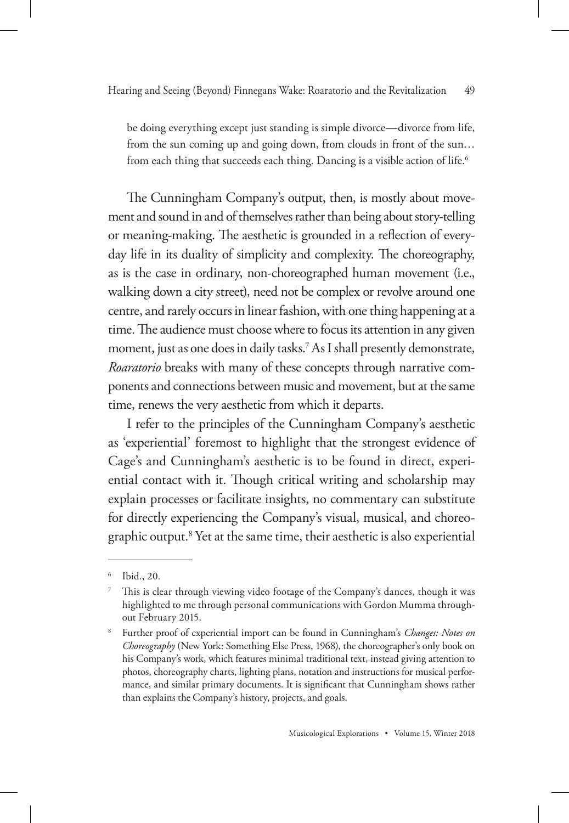be doing everything except just standing is simple divorce—divorce from life, from the sun coming up and going down, from clouds in front of the sun… from each thing that succeeds each thing. Dancing is a visible action of life.<sup>6</sup>

The Cunningham Company's output, then, is mostly about movement and sound in and of themselves rather than being about story-telling or meaning-making. The aesthetic is grounded in a reflection of everyday life in its duality of simplicity and complexity. The choreography, as is the case in ordinary, non-choreographed human movement (i.e., walking down a city street), need not be complex or revolve around one centre, and rarely occurs in linear fashion, with one thing happening at a time. The audience must choose where to focus its attention in any given moment, just as one does in daily tasks.7 As I shall presently demonstrate, *Roaratorio* breaks with many of these concepts through narrative components and connections between music and movement, but at the same time, renews the very aesthetic from which it departs.

I refer to the principles of the Cunningham Company's aesthetic as 'experiential' foremost to highlight that the strongest evidence of Cage's and Cunningham's aesthetic is to be found in direct, experiential contact with it. Though critical writing and scholarship may explain processes or facilitate insights, no commentary can substitute for directly experiencing the Company's visual, musical, and choreographic output.8 Yet at the same time, their aesthetic is also experiential

Ibid., 20.

<sup>7</sup> This is clear through viewing video footage of the Company's dances, though it was highlighted to me through personal communications with Gordon Mumma throughout February 2015.

<sup>8</sup> Further proof of experiential import can be found in Cunningham's *Changes: Notes on Choreography* (New York: Something Else Press, 1968), the choreographer's only book on his Company's work, which features minimal traditional text, instead giving attention to photos, choreography charts, lighting plans, notation and instructions for musical performance, and similar primary documents. It is significant that Cunningham shows rather than explains the Company's history, projects, and goals.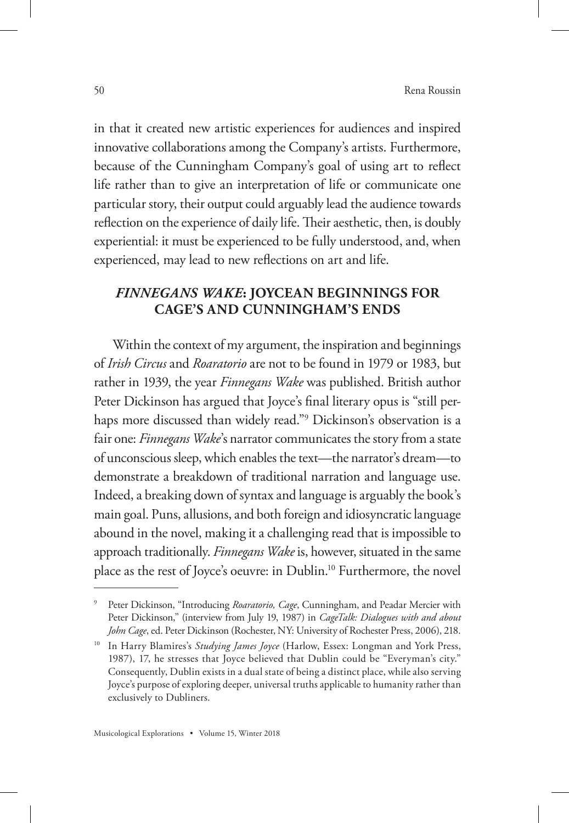in that it created new artistic experiences for audiences and inspired innovative collaborations among the Company's artists. Furthermore, because of the Cunningham Company's goal of using art to reflect life rather than to give an interpretation of life or communicate one particular story, their output could arguably lead the audience towards reflection on the experience of daily life. Their aesthetic, then, is doubly experiential: it must be experienced to be fully understood, and, when experienced, may lead to new reflections on art and life.

### *FINNEGANS WAKE***: JOYCEAN BEGINNINGS FOR CAGE'S AND CUNNINGHAM'S ENDS**

Within the context of my argument, the inspiration and beginnings of *Irish Circus* and *Roaratorio* are not to be found in 1979 or 1983, but rather in 1939, the year *Finnegans Wake* was published. British author Peter Dickinson has argued that Joyce's final literary opus is "still perhaps more discussed than widely read."9 Dickinson's observation is a fair one: *Finnegans Wake*'s narrator communicates the story from a state of unconscious sleep, which enables the text—the narrator's dream—to demonstrate a breakdown of traditional narration and language use. Indeed, a breaking down of syntax and language is arguably the book's main goal. Puns, allusions, and both foreign and idiosyncratic language abound in the novel, making it a challenging read that is impossible to approach traditionally. *Finnegans Wake* is, however, situated in the same place as the rest of Joyce's oeuvre: in Dublin.10 Furthermore, the novel

<sup>9</sup> Peter Dickinson, "Introducing *Roaratorio, Cage*, Cunningham, and Peadar Mercier with Peter Dickinson," (interview from July 19, 1987) in *CageTalk: Dialogues with and about John Cage*, ed. Peter Dickinson (Rochester, NY: University of Rochester Press, 2006), 218.

<sup>&</sup>lt;sup>10</sup> In Harry Blamires's *Studying James Joyce* (Harlow, Essex: Longman and York Press, 1987), 17, he stresses that Joyce believed that Dublin could be "Everyman's city." Consequently, Dublin exists in a dual state of being a distinct place, while also serving Joyce's purpose of exploring deeper, universal truths applicable to humanity rather than exclusively to Dubliners.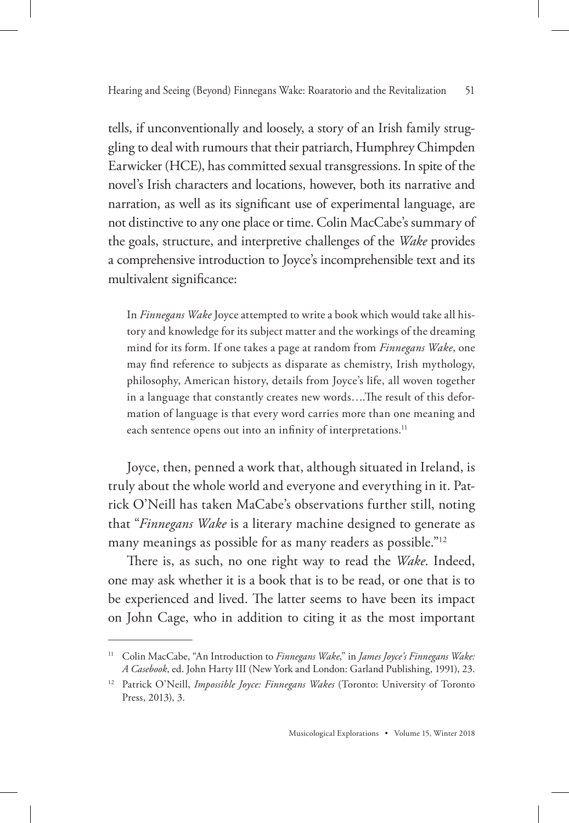tells, if unconventionally and loosely, a story of an Irish family struggling to deal with rumours that their patriarch, Humphrey Chimpden Earwicker (HCE), has committed sexual transgressions. In spite of the novel's Irish characters and locations, however, both its narrative and narration, as well as its significant use of experimental language, are not distinctive to any one place or time. Colin MacCabe's summary of the goals, structure, and interpretive challenges of the *Wake* provides a comprehensive introduction to Joyce's incomprehensible text and its multivalent significance:

In *Finnegans Wake* Joyce attempted to write a book which would take all history and knowledge for its subject matter and the workings of the dreaming mind for its form. If one takes a page at random from *Finnegans Wake*, one may find reference to subjects as disparate as chemistry, Irish mythology, philosophy, American history, details from Joyce's life, all woven together in a language that constantly creates new words….The result of this deformation of language is that every word carries more than one meaning and each sentence opens out into an infinity of interpretations.<sup>11</sup>

Joyce, then, penned a work that, although situated in Ireland, is truly about the whole world and everyone and everything in it. Patrick O'Neill has taken MaCabe's observations further still, noting that "*Finnegans Wake* is a literary machine designed to generate as many meanings as possible for as many readers as possible."12

There is, as such, no one right way to read the *Wake*. Indeed, one may ask whether it is a book that is to be read, or one that is to be experienced and lived. The latter seems to have been its impact on John Cage, who in addition to citing it as the most important

<sup>11</sup> Colin MacCabe, "An Introduction to *Finnegans Wake*," in *James Joyce's Finnegans Wake: A Casebook*, ed. John Harty III (New York and London: Garland Publishing, 1991), 23.

<sup>&</sup>lt;sup>12</sup> Patrick O'Neill, *Impossible Joyce: Finnegans Wakes* (Toronto: University of Toronto Press, 2013), 3.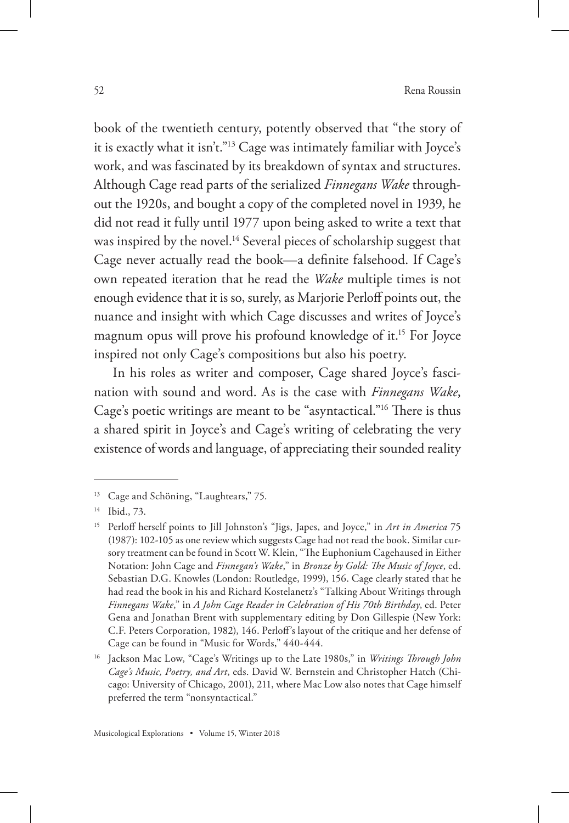book of the twentieth century, potently observed that "the story of it is exactly what it isn't."13 Cage was intimately familiar with Joyce's work, and was fascinated by its breakdown of syntax and structures. Although Cage read parts of the serialized *Finnegans Wake* throughout the 1920s, and bought a copy of the completed novel in 1939, he did not read it fully until 1977 upon being asked to write a text that was inspired by the novel.<sup>14</sup> Several pieces of scholarship suggest that Cage never actually read the book—a definite falsehood. If Cage's own repeated iteration that he read the *Wake* multiple times is not enough evidence that it is so, surely, as Marjorie Perloff points out, the nuance and insight with which Cage discusses and writes of Joyce's magnum opus will prove his profound knowledge of it.15 For Joyce inspired not only Cage's compositions but also his poetry.

In his roles as writer and composer, Cage shared Joyce's fascination with sound and word. As is the case with *Finnegans Wake*, Cage's poetic writings are meant to be "asyntactical."16 There is thus a shared spirit in Joyce's and Cage's writing of celebrating the very existence of words and language, of appreciating their sounded reality

<sup>&</sup>lt;sup>13</sup> Cage and Schöning, "Laughtears," 75.

<sup>14</sup> Ibid., 73.

<sup>15</sup> Perloff herself points to Jill Johnston's "Jigs, Japes, and Joyce," in *Art in America* 75 (1987): 102-105 as one review which suggests Cage had not read the book. Similar cursory treatment can be found in Scott W. Klein, "The Euphonium Cagehaused in Either Notation: John Cage and *Finnegan's Wake*," in *Bronze by Gold: The Music of Joyce*, ed. Sebastian D.G. Knowles (London: Routledge, 1999), 156. Cage clearly stated that he had read the book in his and Richard Kostelanetz's "Talking About Writings through *Finnegans Wake*," in *A John Cage Reader in Celebration of His 70th Birthday*, ed. Peter Gena and Jonathan Brent with supplementary editing by Don Gillespie (New York: C.F. Peters Corporation, 1982), 146. Perloff's layout of the critique and her defense of Cage can be found in "Music for Words," 440-444.

<sup>16</sup> Jackson Mac Low, "Cage's Writings up to the Late 1980s," in *Writings Through John Cage's Music, Poetry, and Art*, eds. David W. Bernstein and Christopher Hatch (Chicago: University of Chicago, 2001), 211, where Mac Low also notes that Cage himself preferred the term "nonsyntactical."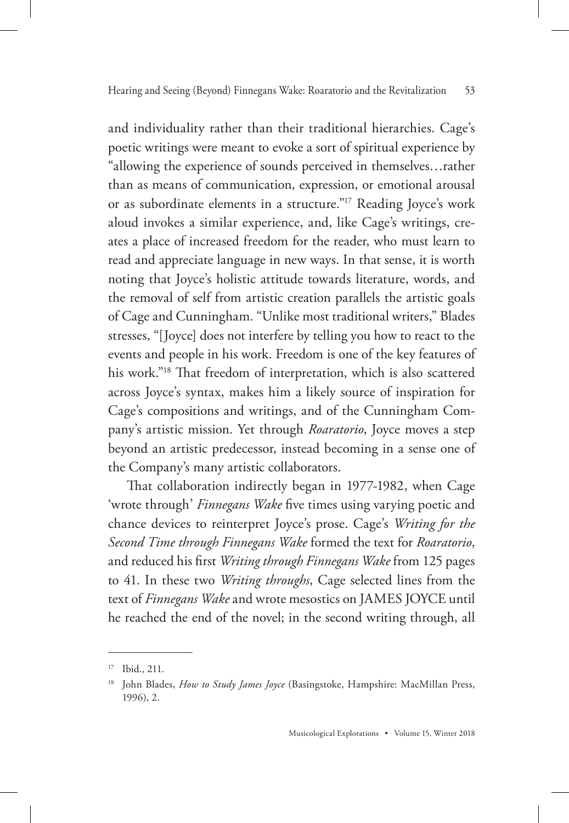and individuality rather than their traditional hierarchies. Cage's poetic writings were meant to evoke a sort of spiritual experience by "allowing the experience of sounds perceived in themselves…rather than as means of communication, expression, or emotional arousal or as subordinate elements in a structure."17 Reading Joyce's work aloud invokes a similar experience, and, like Cage's writings, creates a place of increased freedom for the reader, who must learn to read and appreciate language in new ways. In that sense, it is worth noting that Joyce's holistic attitude towards literature, words, and the removal of self from artistic creation parallels the artistic goals of Cage and Cunningham. "Unlike most traditional writers," Blades stresses, "[Joyce] does not interfere by telling you how to react to the events and people in his work. Freedom is one of the key features of his work."18 That freedom of interpretation, which is also scattered across Joyce's syntax, makes him a likely source of inspiration for Cage's compositions and writings, and of the Cunningham Company's artistic mission. Yet through *Roaratorio*, Joyce moves a step beyond an artistic predecessor, instead becoming in a sense one of the Company's many artistic collaborators.

That collaboration indirectly began in 1977-1982, when Cage 'wrote through' *Finnegans Wake* five times using varying poetic and chance devices to reinterpret Joyce's prose. Cage's *Writing for the Second Time through Finnegans Wake* formed the text for *Roaratorio*, and reduced his first *Writing through Finnegans Wake* from 125 pages to 41. In these two *Writing throughs*, Cage selected lines from the text of *Finnegans Wake* and wrote mesostics on JAMES JOYCE until he reached the end of the novel; in the second writing through, all

<sup>17</sup> Ibid., 211.

<sup>18</sup> John Blades, *How to Study James Joyce* (Basingstoke, Hampshire: MacMillan Press, 1996), 2.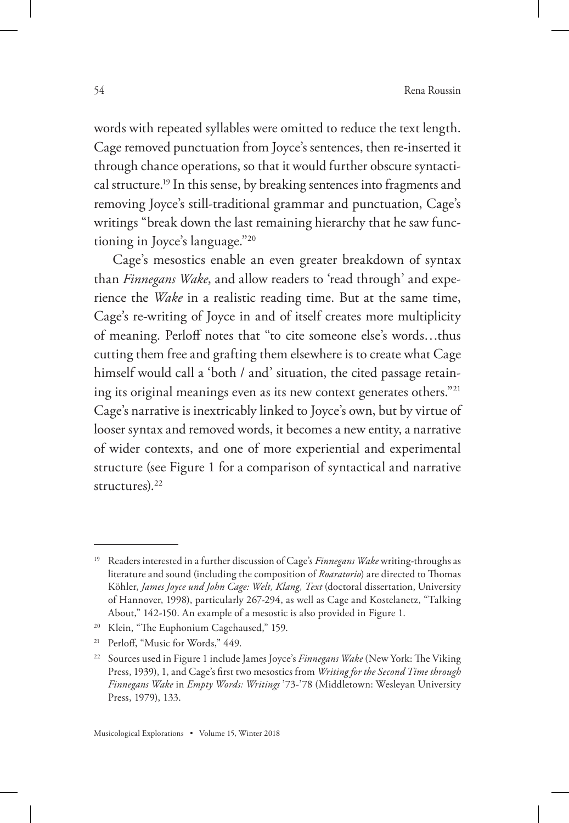words with repeated syllables were omitted to reduce the text length. Cage removed punctuation from Joyce's sentences, then re-inserted it through chance operations, so that it would further obscure syntactical structure.19 In this sense, by breaking sentences into fragments and removing Joyce's still-traditional grammar and punctuation, Cage's writings "break down the last remaining hierarchy that he saw functioning in Joyce's language."20

Cage's mesostics enable an even greater breakdown of syntax than *Finnegans Wake*, and allow readers to 'read through' and experience the *Wake* in a realistic reading time. But at the same time, Cage's re-writing of Joyce in and of itself creates more multiplicity of meaning. Perloff notes that "to cite someone else's words…thus cutting them free and grafting them elsewhere is to create what Cage himself would call a 'both / and' situation, the cited passage retaining its original meanings even as its new context generates others."21 Cage's narrative is inextricably linked to Joyce's own, but by virtue of looser syntax and removed words, it becomes a new entity, a narrative of wider contexts, and one of more experiential and experimental structure (see Figure 1 for a comparison of syntactical and narrative structures).<sup>22</sup>

<sup>19</sup> Readers interested in a further discussion of Cage's *Finnegans Wake* writing-throughs as literature and sound (including the composition of *Roaratorio*) are directed to Thomas Köhler, *James Joyce und John Cage: Welt, Klang, Text* (doctoral dissertation, University of Hannover, 1998), particularly 267-294, as well as Cage and Kostelanetz, "Talking About," 142-150. An example of a mesostic is also provided in Figure 1.

<sup>&</sup>lt;sup>20</sup> Klein, "The Euphonium Cagehaused," 159.

<sup>21</sup> Perloff, "Music for Words," 449.

<sup>22</sup> Sources used in Figure 1 include James Joyce's *Finnegans Wake* (New York: The Viking Press, 1939), 1, and Cage's first two mesostics from *Writing for the Second Time through Finnegans Wake* in *Empty Words: Writings* '73-'78 (Middletown: Wesleyan University Press, 1979), 133.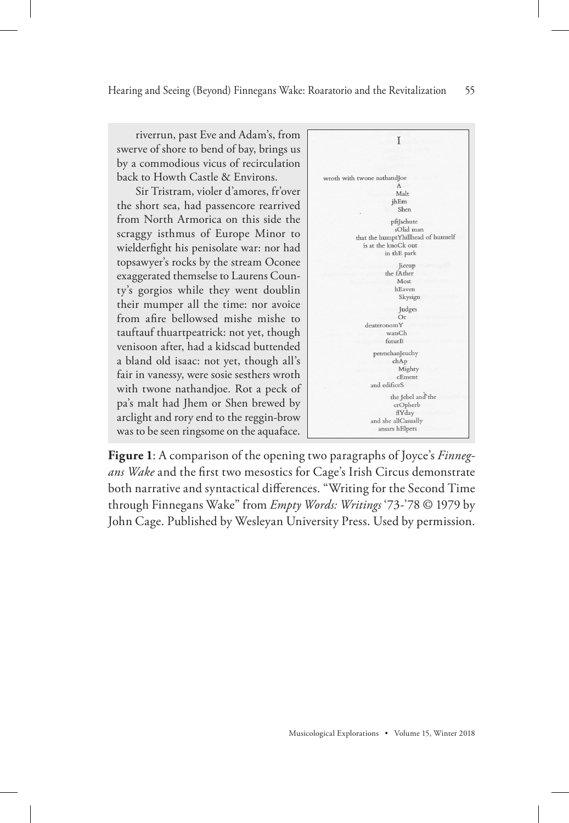riverrun, past Eve and Adam's, from swerve of shore to bend of bay, brings us by a commodious vicus of recirculation back to Howth Castle & Environs.

Sir Tristram, violer d'amores, fr'over the short sea, had passencore rearrived from North Armorica on this side the scraggy isthmus of Europe Minor to wielderfight his penisolate war: nor had topsawyer's rocks by the stream Oconee exaggerated themselse to Laurens County's gorgios while they went doublin their mumper all the time: nor avoice from afire bellowsed mishe mishe to tauftauf thuartpeatrick: not yet, though venisoon after, had a kidscad buttended a bland old isaac: not yet, though all's fair in vanessy, were sosie sesthers wroth with twone nathandjoe. Rot a peck of pa's malt had Jhem or Shen brewed by arclight and rory end to the reggin-brow was to be seen ringsome on the aquaface.



**Figure 1**: A comparison of the opening two paragraphs of Joyce's *Finnegans Wake* and the first two mesostics for Cage's Irish Circus demonstrate both narrative and syntactical differences. "Writing for the Second Time through Finnegans Wake" from *Empty Words: Writings* '73-'78 © 1979 by John Cage. Published by Wesleyan University Press. Used by permission.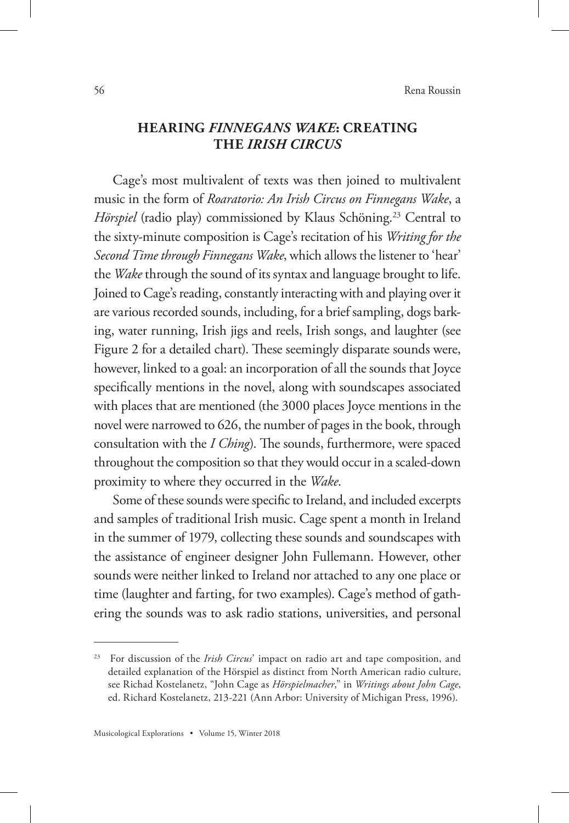#### **HEARING** *FINNEGANS WAKE***: CREATING THE** *IRISH CIRCUS*

Cage's most multivalent of texts was then joined to multivalent music in the form of *Roaratorio: An Irish Circus on Finnegans Wake*, a *Hörspiel* (radio play) commissioned by Klaus Schöning.<sup>23</sup> Central to the sixty-minute composition is Cage's recitation of his *Writing for the Second Time through Finnegans Wake*, which allows the listener to 'hear' the *Wake* through the sound of its syntax and language brought to life. Joined to Cage's reading, constantly interacting with and playing over it are various recorded sounds, including, for a brief sampling, dogs barking, water running, Irish jigs and reels, Irish songs, and laughter (see Figure 2 for a detailed chart). These seemingly disparate sounds were, however, linked to a goal: an incorporation of all the sounds that Joyce specifically mentions in the novel, along with soundscapes associated with places that are mentioned (the 3000 places Joyce mentions in the novel were narrowed to 626, the number of pages in the book, through consultation with the *I Ching*). The sounds, furthermore, were spaced throughout the composition so that they would occur in a scaled-down proximity to where they occurred in the *Wake*.

Some of these sounds were specific to Ireland, and included excerpts and samples of traditional Irish music. Cage spent a month in Ireland in the summer of 1979, collecting these sounds and soundscapes with the assistance of engineer designer John Fullemann. However, other sounds were neither linked to Ireland nor attached to any one place or time (laughter and farting, for two examples). Cage's method of gathering the sounds was to ask radio stations, universities, and personal

For discussion of the *Irish Circus*' impact on radio art and tape composition, and detailed explanation of the Hörspiel as distinct from North American radio culture, see Richad Kostelanetz, "John Cage as *Hörspielmacher*," in *Writings about John Cage*, ed. Richard Kostelanetz, 213-221 (Ann Arbor: University of Michigan Press, 1996).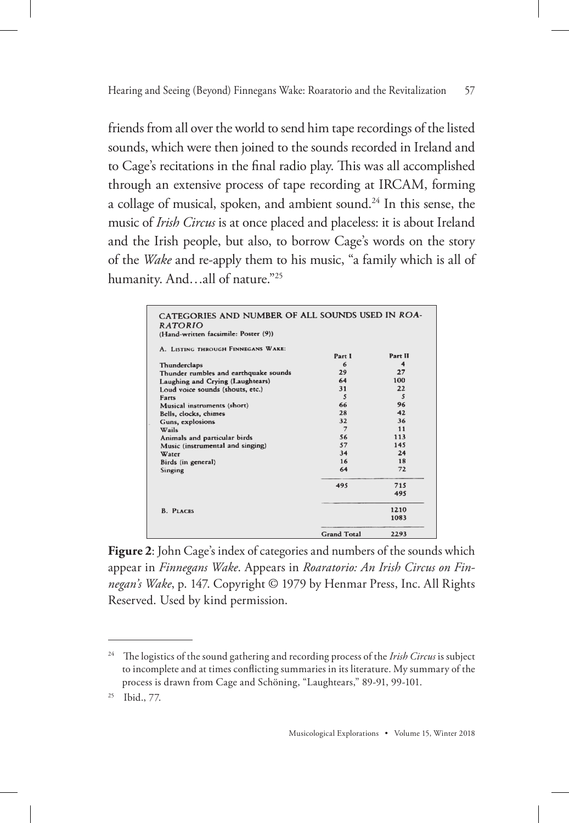friends from all over the world to send him tape recordings of the listed sounds, which were then joined to the sounds recorded in Ireland and to Cage's recitations in the final radio play. This was all accomplished through an extensive process of tape recording at IRCAM, forming a collage of musical, spoken, and ambient sound.<sup>24</sup> In this sense, the music of *Irish Circus* is at once placed and placeless: it is about Ireland and the Irish people, but also, to borrow Cage's words on the story of the *Wake* and re-apply them to his music, "a family which is all of humanity. And…all of nature."25

| CATEGORIES AND NUMBER OF ALL SOUNDS USED IN ROA- |                                 |
|--------------------------------------------------|---------------------------------|
|                                                  |                                 |
|                                                  |                                 |
|                                                  | Part II                         |
| 6                                                | 4                               |
|                                                  | 27                              |
|                                                  | 100                             |
|                                                  | 22                              |
| $\overline{\mathbf{S}}$                          | $\mathcal{S}$                   |
| 66                                               | 96                              |
| 28                                               | 42                              |
| 32                                               | 36                              |
| $\overline{7}$                                   | 11                              |
| 56                                               | 113                             |
| 57                                               | 145                             |
| 34                                               | 24                              |
| 16                                               | 18                              |
| 64                                               | 72                              |
|                                                  | 715                             |
|                                                  | 495                             |
|                                                  | 1210                            |
|                                                  | 1083                            |
|                                                  |                                 |
| <b>Grand Total</b>                               | 2293                            |
|                                                  | Part 1<br>29<br>64<br>31<br>495 |

**Figure 2**: John Cage's index of categories and numbers of the sounds which appear in *Finnegans Wake*. Appears in *Roaratorio: An Irish Circus on Finnegan's Wake*, p. 147. Copyright © 1979 by Henmar Press, Inc. All Rights Reserved. Used by kind permission.

<sup>24</sup> The logistics of the sound gathering and recording process of the *Irish Circus* is subject to incomplete and at times conflicting summaries in its literature. My summary of the process is drawn from Cage and Schöning, "Laughtears," 89-91, 99-101.

<sup>25</sup> Ibid., 77.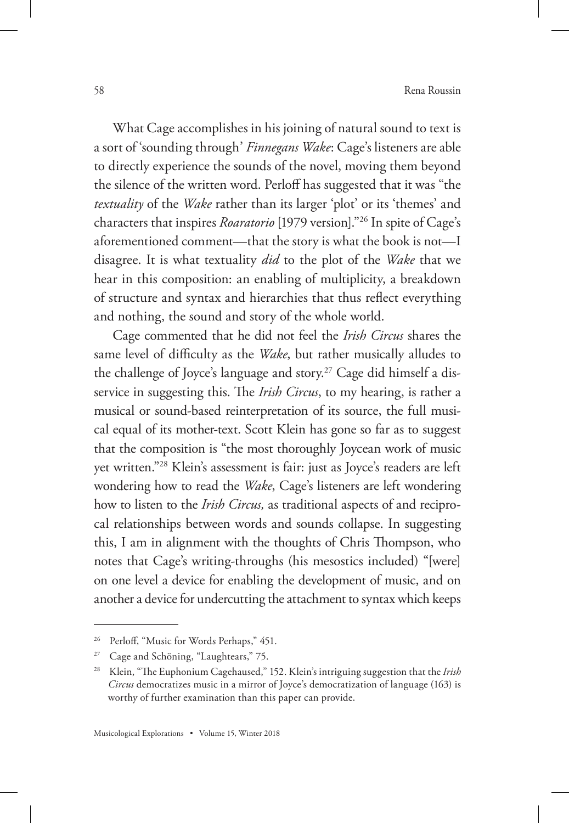What Cage accomplishes in his joining of natural sound to text is a sort of 'sounding through' *Finnegans Wake*: Cage's listeners are able to directly experience the sounds of the novel, moving them beyond the silence of the written word. Perloff has suggested that it was "the *textuality* of the *Wake* rather than its larger 'plot' or its 'themes' and characters that inspires *Roaratorio* [1979 version]."26 In spite of Cage's aforementioned comment—that the story is what the book is not—I disagree. It is what textuality *did* to the plot of the *Wake* that we hear in this composition: an enabling of multiplicity, a breakdown of structure and syntax and hierarchies that thus reflect everything and nothing, the sound and story of the whole world.

Cage commented that he did not feel the *Irish Circus* shares the same level of difficulty as the *Wake*, but rather musically alludes to the challenge of Joyce's language and story.<sup>27</sup> Cage did himself a disservice in suggesting this. The *Irish Circus*, to my hearing, is rather a musical or sound-based reinterpretation of its source, the full musical equal of its mother-text. Scott Klein has gone so far as to suggest that the composition is "the most thoroughly Joycean work of music yet written."28 Klein's assessment is fair: just as Joyce's readers are left wondering how to read the *Wake*, Cage's listeners are left wondering how to listen to the *Irish Circus,* as traditional aspects of and reciprocal relationships between words and sounds collapse. In suggesting this, I am in alignment with the thoughts of Chris Thompson, who notes that Cage's writing-throughs (his mesostics included) "[were] on one level a device for enabling the development of music, and on another a device for undercutting the attachment to syntax which keeps

<sup>&</sup>lt;sup>26</sup> Perloff, "Music for Words Perhaps," 451.

Cage and Schöning, "Laughtears," 75.

<sup>28</sup> Klein, "The Euphonium Cagehaused," 152. Klein's intriguing suggestion that the *Irish Circus* democratizes music in a mirror of Joyce's democratization of language (163) is worthy of further examination than this paper can provide.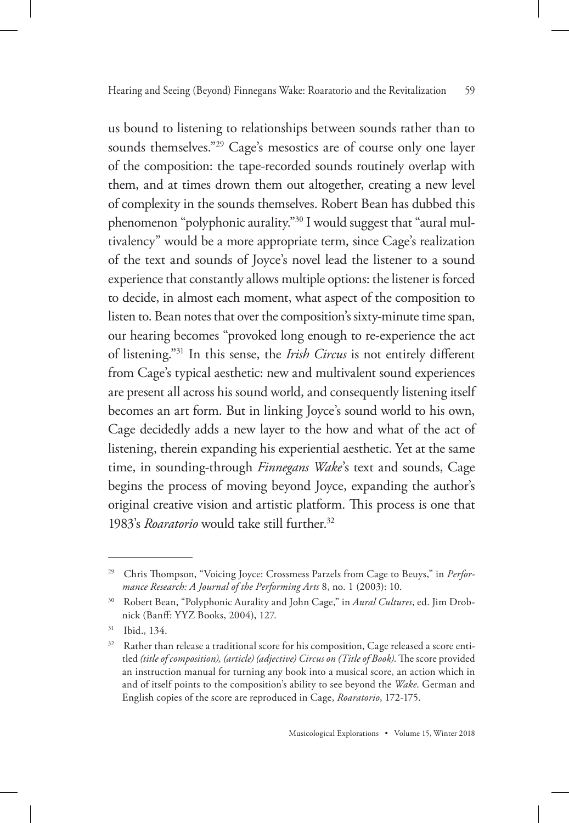us bound to listening to relationships between sounds rather than to sounds themselves."<sup>29</sup> Cage's mesostics are of course only one layer of the composition: the tape-recorded sounds routinely overlap with them, and at times drown them out altogether, creating a new level of complexity in the sounds themselves. Robert Bean has dubbed this phenomenon "polyphonic aurality."30 I would suggest that "aural multivalency" would be a more appropriate term, since Cage's realization of the text and sounds of Joyce's novel lead the listener to a sound experience that constantly allows multiple options: the listener is forced to decide, in almost each moment, what aspect of the composition to listen to. Bean notes that over the composition's sixty-minute time span, our hearing becomes "provoked long enough to re-experience the act of listening."31 In this sense, the *Irish Circus* is not entirely different from Cage's typical aesthetic: new and multivalent sound experiences are present all across his sound world, and consequently listening itself becomes an art form. But in linking Joyce's sound world to his own, Cage decidedly adds a new layer to the how and what of the act of listening, therein expanding his experiential aesthetic. Yet at the same time, in sounding-through *Finnegans Wake*'s text and sounds, Cage begins the process of moving beyond Joyce, expanding the author's original creative vision and artistic platform. This process is one that 1983's *Roaratorio* would take still further.32

<sup>29</sup> Chris Thompson, "Voicing Joyce: Crossmess Parzels from Cage to Beuys," in *Performance Research: A Journal of the Performing Arts* 8, no. 1 (2003): 10.

<sup>30</sup> Robert Bean, "Polyphonic Aurality and John Cage," in *Aural Cultures*, ed. Jim Drobnick (Banff: YYZ Books, 2004), 127.

<sup>31</sup> Ibid., 134.

<sup>&</sup>lt;sup>32</sup> Rather than release a traditional score for his composition, Cage released a score entitled *(title of composition), (article) (adjective) Circus on (Title of Book)*. The score provided an instruction manual for turning any book into a musical score, an action which in and of itself points to the composition's ability to see beyond the *Wake*. German and English copies of the score are reproduced in Cage, *Roaratorio*, 172-175.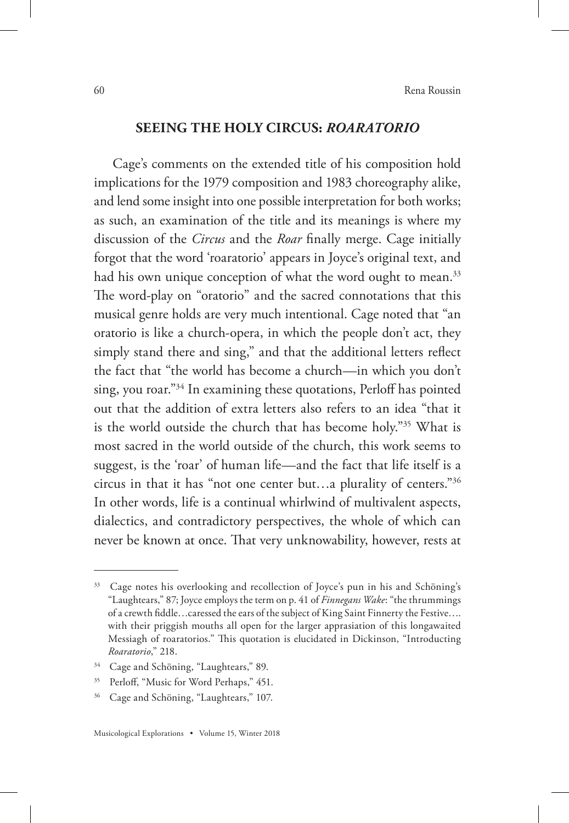#### **SEEING THE HOLY CIRCUS:** *ROARATORIO*

Cage's comments on the extended title of his composition hold implications for the 1979 composition and 1983 choreography alike, and lend some insight into one possible interpretation for both works; as such, an examination of the title and its meanings is where my discussion of the *Circus* and the *Roar* finally merge. Cage initially forgot that the word 'roaratorio' appears in Joyce's original text, and had his own unique conception of what the word ought to mean.<sup>33</sup> The word-play on "oratorio" and the sacred connotations that this musical genre holds are very much intentional. Cage noted that "an oratorio is like a church-opera, in which the people don't act, they simply stand there and sing," and that the additional letters reflect the fact that "the world has become a church—in which you don't sing, you roar."34 In examining these quotations, Perloff has pointed out that the addition of extra letters also refers to an idea "that it is the world outside the church that has become holy."35 What is most sacred in the world outside of the church, this work seems to suggest, is the 'roar' of human life—and the fact that life itself is a circus in that it has "not one center but…a plurality of centers."36 In other words, life is a continual whirlwind of multivalent aspects, dialectics, and contradictory perspectives, the whole of which can never be known at once. That very unknowability, however, rests at

<sup>&</sup>lt;sup>33</sup> Cage notes his overlooking and recollection of Joyce's pun in his and Schöning's "Laughtears," 87; Joyce employs the term on p. 41 of *Finnegans Wake*: "the thrummings of a crewth fiddle…caressed the ears of the subject of King Saint Finnerty the Festive…. with their priggish mouths all open for the larger apprasiation of this longawaited Messiagh of roaratorios." This quotation is elucidated in Dickinson, "Introducting *Roaratorio*," 218.

<sup>&</sup>lt;sup>34</sup> Cage and Schöning, "Laughtears," 89.

<sup>&</sup>lt;sup>35</sup> Perloff, "Music for Word Perhaps," 451.

<sup>36</sup> Cage and Schöning, "Laughtears," 107.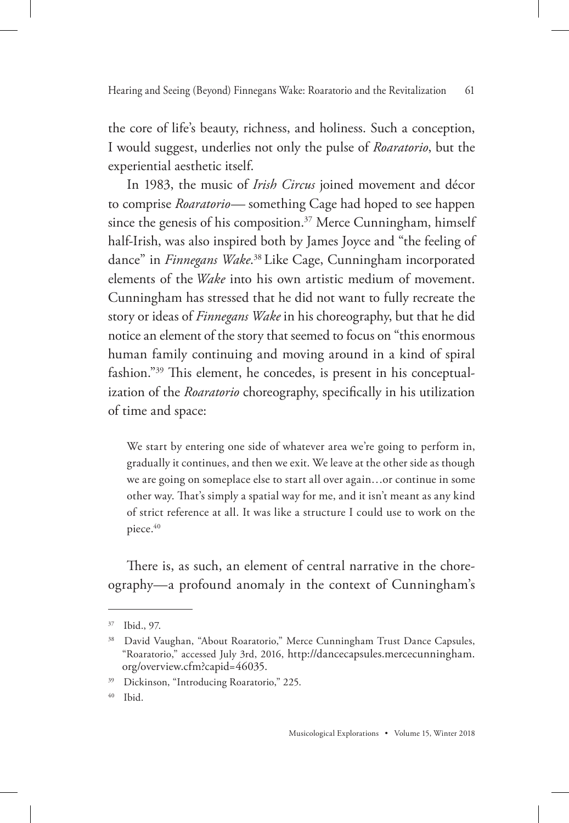the core of life's beauty, richness, and holiness. Such a conception, I would suggest, underlies not only the pulse of *Roaratorio*, but the experiential aesthetic itself.

In 1983, the music of *Irish Circus* joined movement and décor to comprise *Roaratorio—* something Cage had hoped to see happen since the genesis of his composition.<sup>37</sup> Merce Cunningham, himself half-Irish, was also inspired both by James Joyce and "the feeling of dance" in *Finnegans Wake*. <sup>38</sup> Like Cage, Cunningham incorporated elements of the *Wake* into his own artistic medium of movement. Cunningham has stressed that he did not want to fully recreate the story or ideas of *Finnegans Wake* in his choreography, but that he did notice an element of the story that seemed to focus on "this enormous human family continuing and moving around in a kind of spiral fashion."39 This element, he concedes, is present in his conceptualization of the *Roaratorio* choreography, specifically in his utilization of time and space:

We start by entering one side of whatever area we're going to perform in, gradually it continues, and then we exit. We leave at the other side as though we are going on someplace else to start all over again…or continue in some other way. That's simply a spatial way for me, and it isn't meant as any kind of strict reference at all. It was like a structure I could use to work on the piece.<sup>40</sup>

There is, as such, an element of central narrative in the choreography—a profound anomaly in the context of Cunningham's

<sup>37</sup> Ibid., 97.

<sup>&</sup>lt;sup>38</sup> David Vaughan, "About Roaratorio," Merce Cunningham Trust Dance Capsules, "Roaratorio," accessed July 3rd, 2016, http://dancecapsules.mercecunningham. org/overview.cfm?capid=46035.

<sup>39</sup> Dickinson, "Introducing Roaratorio," 225.

<sup>40</sup> Ibid.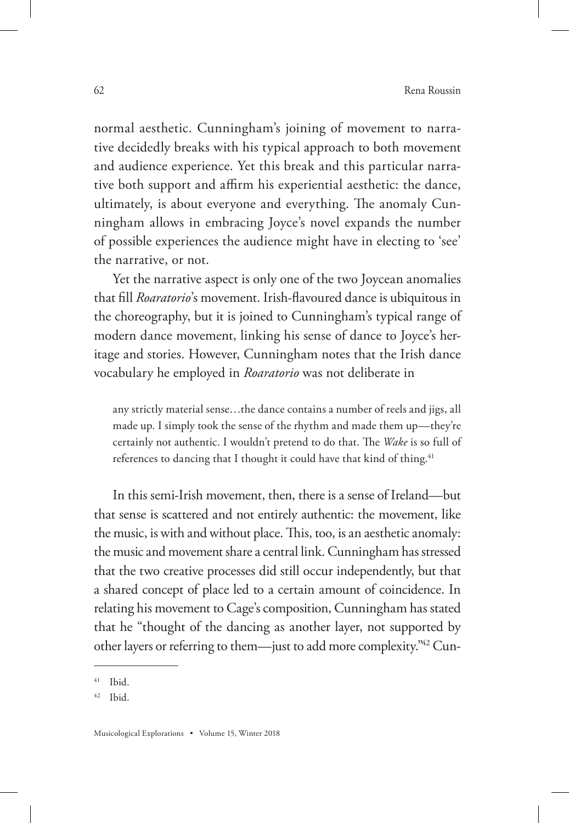normal aesthetic. Cunningham's joining of movement to narrative decidedly breaks with his typical approach to both movement and audience experience. Yet this break and this particular narrative both support and affirm his experiential aesthetic: the dance, ultimately, is about everyone and everything. The anomaly Cunningham allows in embracing Joyce's novel expands the number of possible experiences the audience might have in electing to 'see' the narrative, or not.

Yet the narrative aspect is only one of the two Joycean anomalies that fill *Roaratorio*'s movement. Irish-flavoured dance is ubiquitous in the choreography, but it is joined to Cunningham's typical range of modern dance movement, linking his sense of dance to Joyce's heritage and stories. However, Cunningham notes that the Irish dance vocabulary he employed in *Roaratorio* was not deliberate in

any strictly material sense…the dance contains a number of reels and jigs, all made up. I simply took the sense of the rhythm and made them up—they're certainly not authentic. I wouldn't pretend to do that. The *Wake* is so full of references to dancing that I thought it could have that kind of thing.<sup>41</sup>

In this semi-Irish movement, then, there is a sense of Ireland—but that sense is scattered and not entirely authentic: the movement, like the music, is with and without place. This, too, is an aesthetic anomaly: the music and movement share a central link. Cunningham has stressed that the two creative processes did still occur independently, but that a shared concept of place led to a certain amount of coincidence. In relating his movement to Cage's composition, Cunningham has stated that he "thought of the dancing as another layer, not supported by other layers or referring to them—just to add more complexity."42 Cun-

<sup>41</sup> Ibid.

<sup>42</sup> Ibid.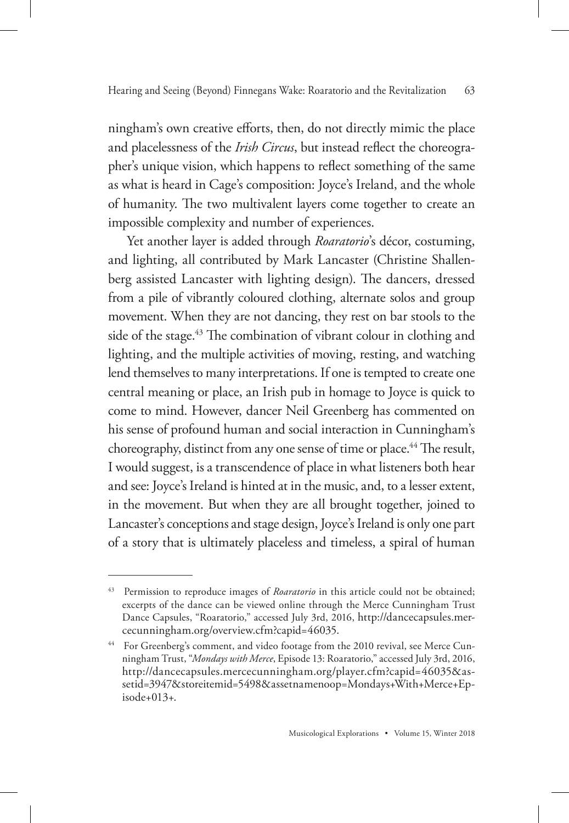ningham's own creative efforts, then, do not directly mimic the place and placelessness of the *Irish Circus*, but instead reflect the choreographer's unique vision, which happens to reflect something of the same as what is heard in Cage's composition: Joyce's Ireland, and the whole of humanity. The two multivalent layers come together to create an impossible complexity and number of experiences.

Yet another layer is added through *Roaratorio*'s décor, costuming, and lighting, all contributed by Mark Lancaster (Christine Shallenberg assisted Lancaster with lighting design). The dancers, dressed from a pile of vibrantly coloured clothing, alternate solos and group movement. When they are not dancing, they rest on bar stools to the side of the stage.<sup>43</sup> The combination of vibrant colour in clothing and lighting, and the multiple activities of moving, resting, and watching lend themselves to many interpretations. If one is tempted to create one central meaning or place, an Irish pub in homage to Joyce is quick to come to mind. However, dancer Neil Greenberg has commented on his sense of profound human and social interaction in Cunningham's choreography, distinct from any one sense of time or place.<sup>44</sup> The result, I would suggest, is a transcendence of place in what listeners both hear and see: Joyce's Ireland is hinted at in the music, and, to a lesser extent, in the movement. But when they are all brought together, joined to Lancaster's conceptions and stage design, Joyce's Ireland is only one part of a story that is ultimately placeless and timeless, a spiral of human

<sup>43</sup> Permission to reproduce images of *Roaratorio* in this article could not be obtained; excerpts of the dance can be viewed online through the Merce Cunningham Trust Dance Capsules, "Roaratorio," accessed July 3rd, 2016, http://dancecapsules.mercecunningham.org/overview.cfm?capid=46035.

For Greenberg's comment, and video footage from the 2010 revival, see Merce Cunningham Trust, "*Mondays with Merce*, Episode 13: Roaratorio," accessed July 3rd, 2016, http://dancecapsules.mercecunningham.org/player.cfm?capid=46035&assetid=3947&storeitemid=5498&assetnamenoop=Mondays+With+Merce+Episode+013+.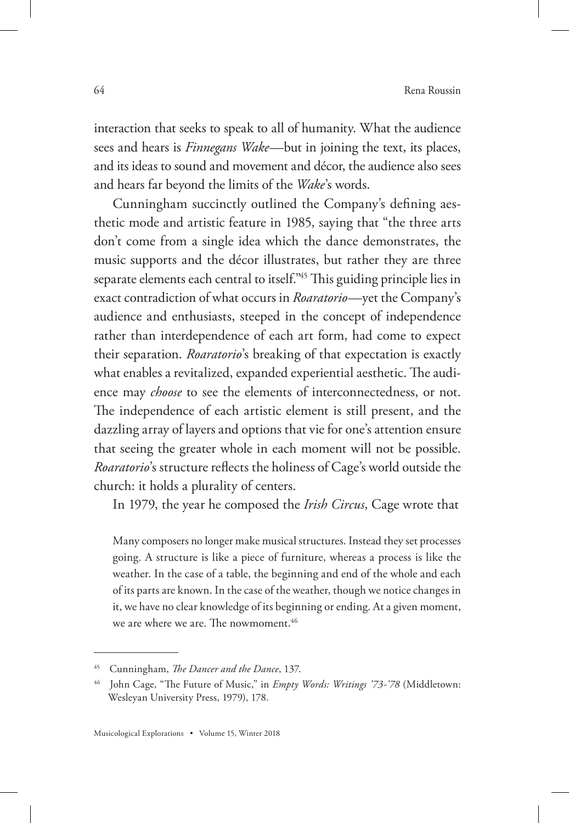interaction that seeks to speak to all of humanity. What the audience sees and hears is *Finnegans Wake*—but in joining the text, its places, and its ideas to sound and movement and décor, the audience also sees and hears far beyond the limits of the *Wake*'s words.

Cunningham succinctly outlined the Company's defining aesthetic mode and artistic feature in 1985, saying that "the three arts don't come from a single idea which the dance demonstrates, the music supports and the décor illustrates, but rather they are three separate elements each central to itself."45 This guiding principle lies in exact contradiction of what occurs in *Roaratorio*—yet the Company's audience and enthusiasts, steeped in the concept of independence rather than interdependence of each art form, had come to expect their separation. *Roaratorio*'s breaking of that expectation is exactly what enables a revitalized, expanded experiential aesthetic. The audience may *choose* to see the elements of interconnectedness, or not. The independence of each artistic element is still present, and the dazzling array of layers and options that vie for one's attention ensure that seeing the greater whole in each moment will not be possible. *Roaratorio*'s structure reflects the holiness of Cage's world outside the church: it holds a plurality of centers.

In 1979, the year he composed the *Irish Circus*, Cage wrote that

Many composers no longer make musical structures. Instead they set processes going. A structure is like a piece of furniture, whereas a process is like the weather. In the case of a table, the beginning and end of the whole and each of its parts are known. In the case of the weather, though we notice changes in it, we have no clear knowledge of its beginning or ending. At a given moment, we are where we are. The nowmoment.<sup>46</sup>

<sup>45</sup> Cunningham, *The Dancer and the Dance*, 137.

<sup>46</sup> John Cage, "The Future of Music," in *Empty Words: Writings '73-'78* (Middletown: Wesleyan University Press, 1979), 178.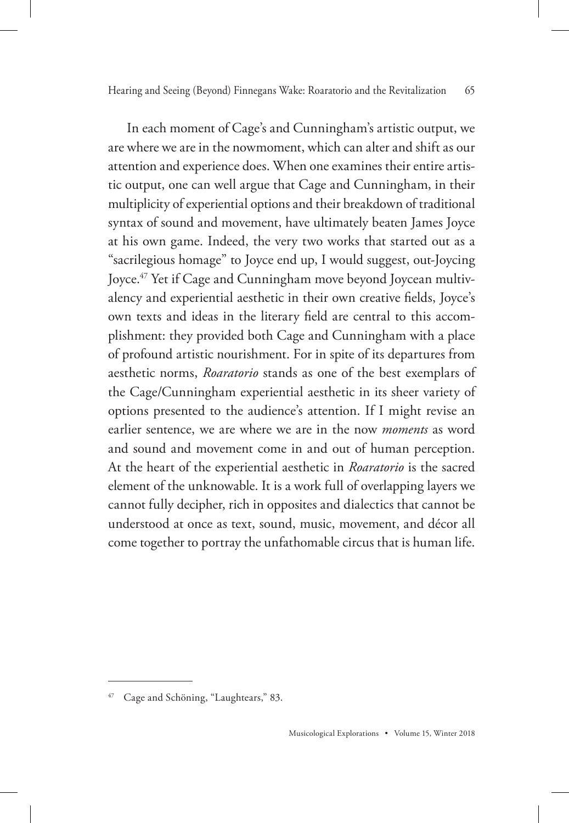In each moment of Cage's and Cunningham's artistic output, we are where we are in the nowmoment, which can alter and shift as our attention and experience does. When one examines their entire artistic output, one can well argue that Cage and Cunningham, in their multiplicity of experiential options and their breakdown of traditional syntax of sound and movement, have ultimately beaten James Joyce at his own game. Indeed, the very two works that started out as a "sacrilegious homage" to Joyce end up, I would suggest, out-Joycing Joyce.<sup>47</sup> Yet if Cage and Cunningham move beyond Joycean multivalency and experiential aesthetic in their own creative fields, Joyce's own texts and ideas in the literary field are central to this accomplishment: they provided both Cage and Cunningham with a place of profound artistic nourishment. For in spite of its departures from aesthetic norms, *Roaratorio* stands as one of the best exemplars of the Cage/Cunningham experiential aesthetic in its sheer variety of options presented to the audience's attention. If I might revise an earlier sentence, we are where we are in the now *moments* as word and sound and movement come in and out of human perception. At the heart of the experiential aesthetic in *Roaratorio* is the sacred element of the unknowable. It is a work full of overlapping layers we cannot fully decipher, rich in opposites and dialectics that cannot be understood at once as text, sound, music, movement, and décor all come together to portray the unfathomable circus that is human life.

<sup>47</sup> Cage and Schöning, "Laughtears," 83.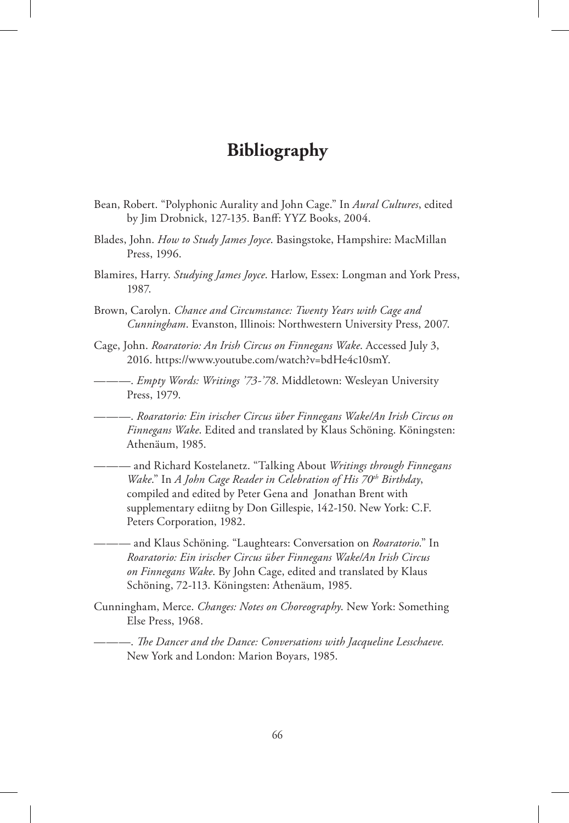## **Bibliography**

- Bean, Robert. "Polyphonic Aurality and John Cage." In *Aural Cultures*, edited by Jim Drobnick, 127-135. Banff: YYZ Books, 2004.
- Blades, John. *How to Study James Joyce*. Basingstoke, Hampshire: MacMillan Press, 1996.
- Blamires, Harry. *Studying James Joyce*. Harlow, Essex: Longman and York Press, 1987.
- Brown, Carolyn. *Chance and Circumstance: Twenty Years with Cage and Cunningham*. Evanston, Illinois: Northwestern University Press, 2007.
- Cage, John. *Roaratorio: An Irish Circus on Finnegans Wake*. Accessed July 3, 2016. https://www.youtube.com/watch?v=bdHe4c10smY.
- ———. *Empty Words: Writings '73-'78*. Middletown: Wesleyan University Press, 1979.
- ———. *Roaratorio: Ein irischer Circus über Finnegans Wake/An Irish Circus on Finnegans Wake*. Edited and translated by Klaus Schöning. Köningsten: Athenäum, 1985.
- ——— and Richard Kostelanetz. "Talking About *Writings through Finnegans Wake.*" In *A John Cage Reader in Celebration of His 70<sup>th</sup> Birthday*, compiled and edited by Peter Gena and Jonathan Brent with supplementary ediitng by Don Gillespie, 142-150. New York: C.F. Peters Corporation, 1982.
	- ——— and Klaus Schöning. "Laughtears: Conversation on *Roaratorio*." In *Roaratorio: Ein irischer Circus über Finnegans Wake/An Irish Circus on Finnegans Wake*. By John Cage, edited and translated by Klaus Schöning, 72-113. Köningsten: Athenäum, 1985.
- Cunningham, Merce. *Changes: Notes on Choreography*. New York: Something Else Press, 1968.

———. *The Dancer and the Dance: Conversations with Jacqueline Lesschaeve.*  New York and London: Marion Boyars, 1985.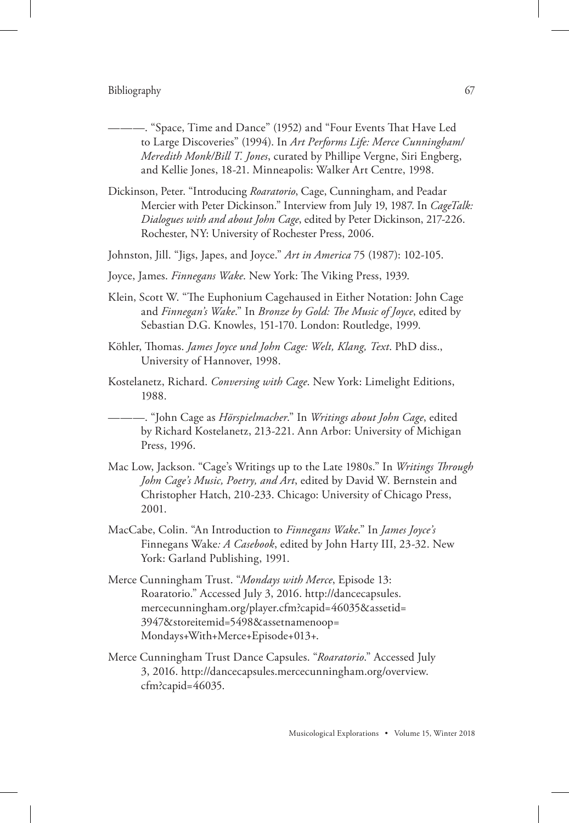#### Bibliography 67

- ———. "Space, Time and Dance" (1952) and "Four Events That Have Led to Large Discoveries" (1994). In *Art Performs Life: Merce Cunningham/ Meredith Monk/Bill T. Jones*, curated by Phillipe Vergne, Siri Engberg, and Kellie Jones, 18-21. Minneapolis: Walker Art Centre, 1998.
- Dickinson, Peter. "Introducing *Roaratorio*, Cage, Cunningham, and Peadar Mercier with Peter Dickinson." Interview from July 19, 1987. In *CageTalk: Dialogues with and about John Cage*, edited by Peter Dickinson, 217-226. Rochester, NY: University of Rochester Press, 2006.
- Johnston, Jill. "Jigs, Japes, and Joyce." *Art in America* 75 (1987): 102-105.
- Joyce, James. *Finnegans Wake*. New York: The Viking Press, 1939.
- Klein, Scott W. "The Euphonium Cagehaused in Either Notation: John Cage and *Finnegan's Wake*." In *Bronze by Gold: The Music of Joyce*, edited by Sebastian D.G. Knowles, 151-170. London: Routledge, 1999.
- Köhler, Thomas. *James Joyce und John Cage: Welt, Klang, Text*. PhD diss., University of Hannover, 1998.
- Kostelanetz, Richard. *Conversing with Cage*. New York: Limelight Editions, 1988.

———. "John Cage as *Hörspielmacher*." In *Writings about John Cage*, edited by Richard Kostelanetz, 213-221. Ann Arbor: University of Michigan Press, 1996.

- Mac Low, Jackson. "Cage's Writings up to the Late 1980s." In *Writings Through John Cage's Music, Poetry, and Art*, edited by David W. Bernstein and Christopher Hatch, 210-233. Chicago: University of Chicago Press, 2001.
- MacCabe, Colin. "An Introduction to *Finnegans Wake*." In *James Joyce's*  Finnegans Wake*: A Casebook*, edited by John Harty III, 23-32. New York: Garland Publishing, 1991.
- Merce Cunningham Trust. "*Mondays with Merce*, Episode 13: Roaratorio." Accessed July 3, 2016. http://dancecapsules. mercecunningham.org/player.cfm?capid=46035&assetid= 3947&storeitemid=5498&assetnamenoop= Mondays+With+Merce+Episode+013+.
- Merce Cunningham Trust Dance Capsules. "*Roaratorio*." Accessed July 3, 2016. http://dancecapsules.mercecunningham.org/overview. cfm?capid=46035.